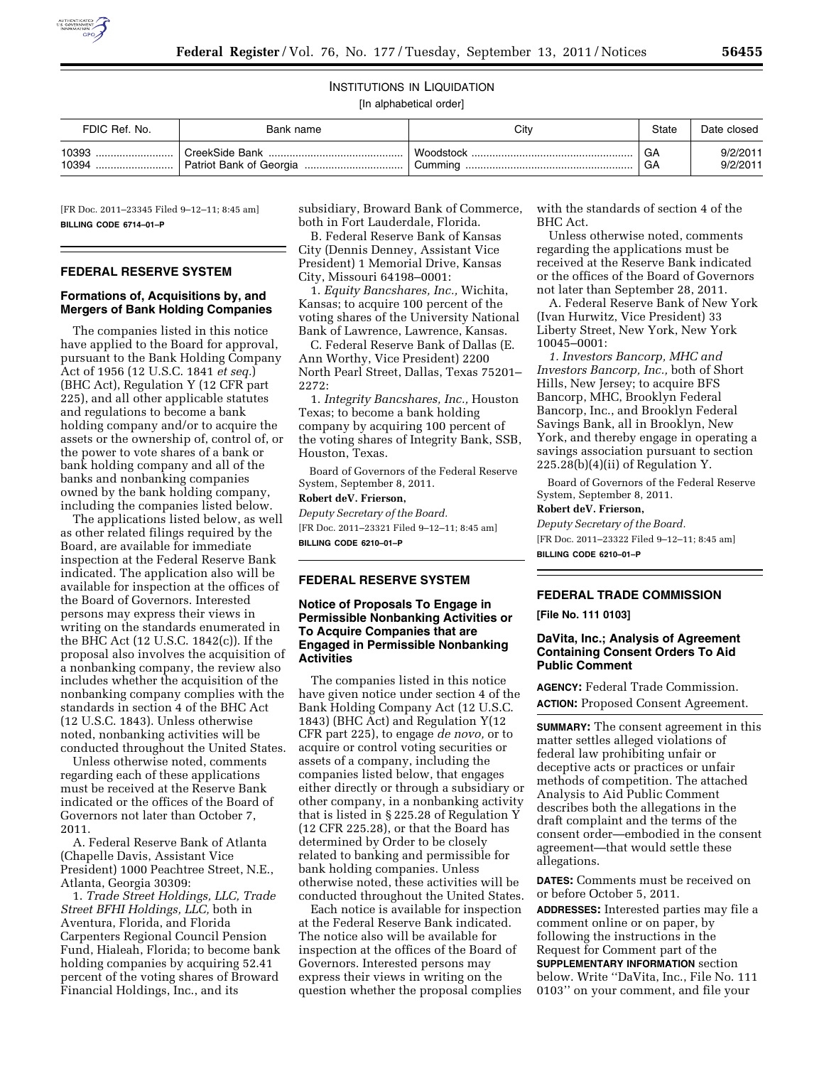# INSTITUTIONS IN LIQUIDATION

[In alphabetical order]

| FDIC Ref. No.  | Bank name      | Citv                 | State    | Date closed        |
|----------------|----------------|----------------------|----------|--------------------|
| 10393<br>10394 | CreekSide Bank | Woodstock<br>Cumming | GA<br>GA | 9/2/201<br>9/2/201 |

[FR Doc. 2011–23345 Filed 9–12–11; 8:45 am] **BILLING CODE 6714–01–P** 

### **FEDERAL RESERVE SYSTEM**

## **Formations of, Acquisitions by, and Mergers of Bank Holding Companies**

The companies listed in this notice have applied to the Board for approval, pursuant to the Bank Holding Company Act of 1956 (12 U.S.C. 1841 *et seq.*) (BHC Act), Regulation Y (12 CFR part 225), and all other applicable statutes and regulations to become a bank holding company and/or to acquire the assets or the ownership of, control of, or the power to vote shares of a bank or bank holding company and all of the banks and nonbanking companies owned by the bank holding company, including the companies listed below.

The applications listed below, as well as other related filings required by the Board, are available for immediate inspection at the Federal Reserve Bank indicated. The application also will be available for inspection at the offices of the Board of Governors. Interested persons may express their views in writing on the standards enumerated in the BHC Act (12 U.S.C. 1842(c)). If the proposal also involves the acquisition of a nonbanking company, the review also includes whether the acquisition of the nonbanking company complies with the standards in section 4 of the BHC Act (12 U.S.C. 1843). Unless otherwise noted, nonbanking activities will be conducted throughout the United States.

Unless otherwise noted, comments regarding each of these applications must be received at the Reserve Bank indicated or the offices of the Board of Governors not later than October 7, 2011.

A. Federal Reserve Bank of Atlanta (Chapelle Davis, Assistant Vice President) 1000 Peachtree Street, N.E., Atlanta, Georgia 30309:

1. *Trade Street Holdings, LLC, Trade Street BFHI Holdings, LLC,* both in Aventura, Florida, and Florida Carpenters Regional Council Pension Fund, Hialeah, Florida; to become bank holding companies by acquiring 52.41 percent of the voting shares of Broward Financial Holdings, Inc., and its

subsidiary, Broward Bank of Commerce, both in Fort Lauderdale, Florida.

B. Federal Reserve Bank of Kansas City (Dennis Denney, Assistant Vice President) 1 Memorial Drive, Kansas City, Missouri 64198–0001:

1. *Equity Bancshares, Inc.,* Wichita, Kansas; to acquire 100 percent of the voting shares of the University National Bank of Lawrence, Lawrence, Kansas.

C. Federal Reserve Bank of Dallas (E. Ann Worthy, Vice President) 2200 North Pearl Street, Dallas, Texas 75201– 2272:

1. *Integrity Bancshares, Inc.,* Houston Texas; to become a bank holding company by acquiring 100 percent of the voting shares of Integrity Bank, SSB, Houston, Texas.

Board of Governors of the Federal Reserve System, September 8, 2011.

# **Robert deV. Frierson,**

*Deputy Secretary of the Board.*  [FR Doc. 2011–23321 Filed 9–12–11; 8:45 am] **BILLING CODE 6210–01–P** 

### **FEDERAL RESERVE SYSTEM**

**Notice of Proposals To Engage in Permissible Nonbanking Activities or To Acquire Companies that are Engaged in Permissible Nonbanking Activities** 

The companies listed in this notice have given notice under section 4 of the Bank Holding Company Act (12 U.S.C. 1843) (BHC Act) and Regulation Y(12 CFR part 225), to engage *de novo,* or to acquire or control voting securities or assets of a company, including the companies listed below, that engages either directly or through a subsidiary or other company, in a nonbanking activity that is listed in § 225.28 of Regulation Y (12 CFR 225.28), or that the Board has determined by Order to be closely related to banking and permissible for bank holding companies. Unless otherwise noted, these activities will be conducted throughout the United States.

Each notice is available for inspection at the Federal Reserve Bank indicated. The notice also will be available for inspection at the offices of the Board of Governors. Interested persons may express their views in writing on the question whether the proposal complies

with the standards of section 4 of the BHC Act.

Unless otherwise noted, comments regarding the applications must be received at the Reserve Bank indicated or the offices of the Board of Governors not later than September 28, 2011.

A. Federal Reserve Bank of New York (Ivan Hurwitz, Vice President) 33 Liberty Street, New York, New York 10045–0001:

*1. Investors Bancorp, MHC and Investors Bancorp, Inc.,* both of Short Hills, New Jersey; to acquire BFS Bancorp, MHC, Brooklyn Federal Bancorp, Inc., and Brooklyn Federal Savings Bank, all in Brooklyn, New York, and thereby engage in operating a savings association pursuant to section  $225.28(b)(4)(ii)$  of Regulation Y.

Board of Governors of the Federal Reserve System, September 8, 2011.

# **Robert deV. Frierson,**

*Deputy Secretary of the Board.*  [FR Doc. 2011–23322 Filed 9–12–11; 8:45 am] **BILLING CODE 6210–01–P** 

#### **FEDERAL TRADE COMMISSION**

**[File No. 111 0103]** 

### **DaVita, Inc.; Analysis of Agreement Containing Consent Orders To Aid Public Comment**

**AGENCY:** Federal Trade Commission. **ACTION:** Proposed Consent Agreement.

**SUMMARY:** The consent agreement in this matter settles alleged violations of federal law prohibiting unfair or deceptive acts or practices or unfair methods of competition. The attached Analysis to Aid Public Comment describes both the allegations in the draft complaint and the terms of the consent order—embodied in the consent agreement—that would settle these allegations.

**DATES:** Comments must be received on or before October 5, 2011.

**ADDRESSES:** Interested parties may file a comment online or on paper, by following the instructions in the Request for Comment part of the **SUPPLEMENTARY INFORMATION** section below. Write ''DaVita, Inc., File No. 111 0103'' on your comment, and file your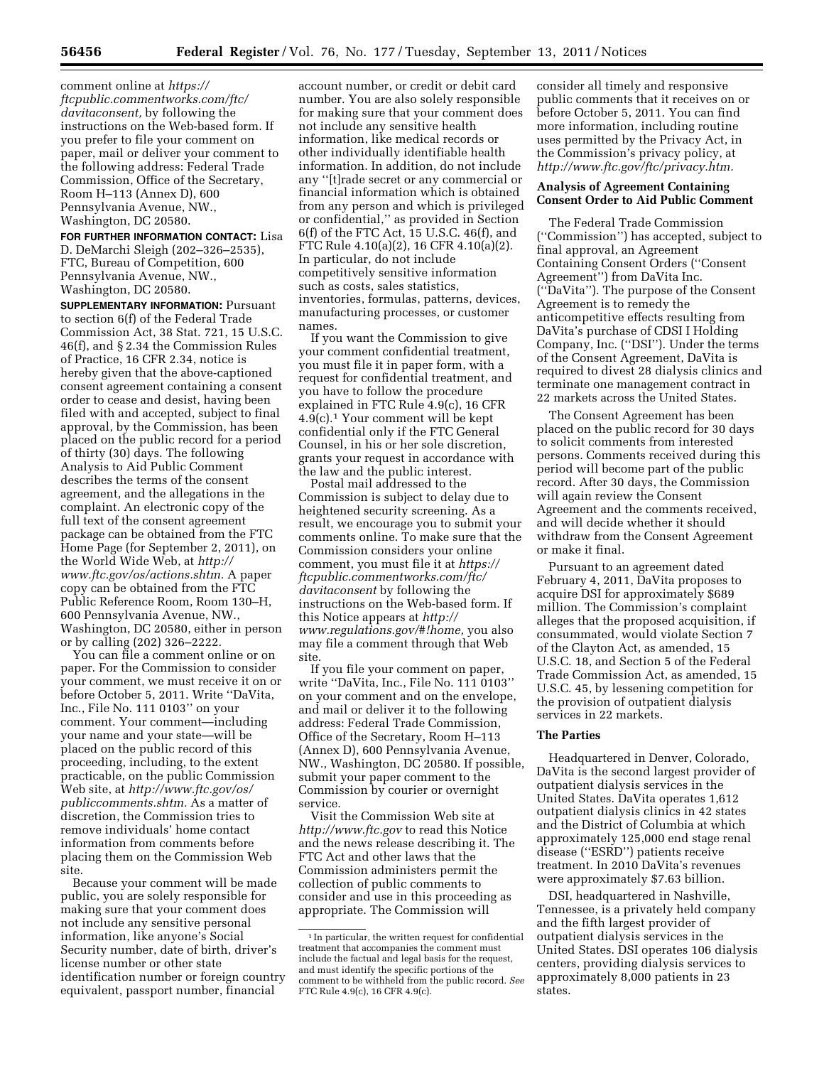comment online at *[https://](https://ftcpublic.commentworks.com/ftc/davitaconsent) [ftcpublic.commentworks.com/ftc/](https://ftcpublic.commentworks.com/ftc/davitaconsent)  [davitaconsent,](https://ftcpublic.commentworks.com/ftc/davitaconsent)* by following the instructions on the Web-based form. If you prefer to file your comment on paper, mail or deliver your comment to the following address: Federal Trade Commission, Office of the Secretary, Room H–113 (Annex D), 600 Pennsylvania Avenue, NW., Washington, DC 20580.

**FOR FURTHER INFORMATION CONTACT:** Lisa D. DeMarchi Sleigh (202–326–2535), FTC, Bureau of Competition, 600 Pennsylvania Avenue, NW., Washington, DC 20580.

**SUPPLEMENTARY INFORMATION:** Pursuant to section 6(f) of the Federal Trade Commission Act, 38 Stat. 721, 15 U.S.C. 46(f), and § 2.34 the Commission Rules of Practice, 16 CFR 2.34, notice is hereby given that the above-captioned consent agreement containing a consent order to cease and desist, having been filed with and accepted, subject to final approval, by the Commission, has been placed on the public record for a period of thirty (30) days. The following Analysis to Aid Public Comment describes the terms of the consent agreement, and the allegations in the complaint. An electronic copy of the full text of the consent agreement package can be obtained from the FTC Home Page (for September 2, 2011), on the World Wide Web, at *[http://](http://www.ftc.gov/os/actions.shtm) [www.ftc.gov/os/actions.shtm.](http://www.ftc.gov/os/actions.shtm)* A paper copy can be obtained from the FTC Public Reference Room, Room 130–H, 600 Pennsylvania Avenue, NW., Washington, DC 20580, either in person or by calling (202) 326–2222.

You can file a comment online or on paper. For the Commission to consider your comment, we must receive it on or before October 5, 2011. Write ''DaVita, Inc., File No. 111 0103'' on your comment. Your comment—including your name and your state—will be placed on the public record of this proceeding, including, to the extent practicable, on the public Commission Web site, at *[http://www.ftc.gov/os/](http://www.ftc.gov/os/publiccomments.shtm) [publiccomments.shtm.](http://www.ftc.gov/os/publiccomments.shtm)* As a matter of discretion, the Commission tries to remove individuals' home contact information from comments before placing them on the Commission Web site.

Because your comment will be made public, you are solely responsible for making sure that your comment does not include any sensitive personal information, like anyone's Social Security number, date of birth, driver's license number or other state identification number or foreign country equivalent, passport number, financial

account number, or credit or debit card number. You are also solely responsible for making sure that your comment does not include any sensitive health information, like medical records or other individually identifiable health information. In addition, do not include any ''[t]rade secret or any commercial or financial information which is obtained from any person and which is privileged or confidential,'' as provided in Section 6(f) of the FTC Act, 15 U.S.C. 46(f), and FTC Rule 4.10(a)(2), 16 CFR 4.10(a)(2). In particular, do not include competitively sensitive information such as costs, sales statistics, inventories, formulas, patterns, devices, manufacturing processes, or customer names.

If you want the Commission to give your comment confidential treatment, you must file it in paper form, with a request for confidential treatment, and you have to follow the procedure explained in FTC Rule 4.9(c), 16 CFR 4.9(c).1 Your comment will be kept confidential only if the FTC General Counsel, in his or her sole discretion, grants your request in accordance with the law and the public interest.

Postal mail addressed to the Commission is subject to delay due to heightened security screening. As a result, we encourage you to submit your comments online. To make sure that the Commission considers your online comment, you must file it at *[https://](https://ftcpublic.commentworks.com/ftc/davitaconsent) [ftcpublic.commentworks.com/ftc/](https://ftcpublic.commentworks.com/ftc/davitaconsent)  [davitaconsent](https://ftcpublic.commentworks.com/ftc/davitaconsent)* by following the instructions on the Web-based form. If this Notice appears at *[http://](http://www.regulations.gov/#!home) [www.regulations.gov/#!home,](http://www.regulations.gov/#!home)* you also may file a comment through that Web site.

If you file your comment on paper, write ''DaVita, Inc., File No. 111 0103'' on your comment and on the envelope, and mail or deliver it to the following address: Federal Trade Commission, Office of the Secretary, Room H–113 (Annex D), 600 Pennsylvania Avenue, NW., Washington, DC 20580. If possible, submit your paper comment to the Commission by courier or overnight service.

Visit the Commission Web site at *<http://www.ftc.gov>*to read this Notice and the news release describing it. The FTC Act and other laws that the Commission administers permit the collection of public comments to consider and use in this proceeding as appropriate. The Commission will

consider all timely and responsive public comments that it receives on or before October 5, 2011. You can find more information, including routine uses permitted by the Privacy Act, in the Commission's privacy policy, at *[http://www.ftc.gov/ftc/privacy.htm.](http://www.ftc.gov/ftc/privacy.htm)* 

#### **Analysis of Agreement Containing Consent Order to Aid Public Comment**

The Federal Trade Commission (''Commission'') has accepted, subject to final approval, an Agreement Containing Consent Orders (''Consent Agreement'') from DaVita Inc. (''DaVita''). The purpose of the Consent Agreement is to remedy the anticompetitive effects resulting from DaVita's purchase of CDSI I Holding Company, Inc. (''DSI''). Under the terms of the Consent Agreement, DaVita is required to divest 28 dialysis clinics and terminate one management contract in 22 markets across the United States.

The Consent Agreement has been placed on the public record for 30 days to solicit comments from interested persons. Comments received during this period will become part of the public record. After 30 days, the Commission will again review the Consent Agreement and the comments received, and will decide whether it should withdraw from the Consent Agreement or make it final.

Pursuant to an agreement dated February 4, 2011, DaVita proposes to acquire DSI for approximately \$689 million. The Commission's complaint alleges that the proposed acquisition, if consummated, would violate Section 7 of the Clayton Act, as amended, 15 U.S.C. 18, and Section 5 of the Federal Trade Commission Act, as amended, 15 U.S.C. 45, by lessening competition for the provision of outpatient dialysis services in 22 markets.

### **The Parties**

Headquartered in Denver, Colorado, DaVita is the second largest provider of outpatient dialysis services in the United States. DaVita operates 1,612 outpatient dialysis clinics in 42 states and the District of Columbia at which approximately 125,000 end stage renal disease (''ESRD'') patients receive treatment. In 2010 DaVita's revenues were approximately \$7.63 billion.

DSI, headquartered in Nashville, Tennessee, is a privately held company and the fifth largest provider of outpatient dialysis services in the United States. DSI operates 106 dialysis centers, providing dialysis services to approximately 8,000 patients in 23 states.

<sup>&</sup>lt;sup>1</sup> In particular, the written request for confidential treatment that accompanies the comment must include the factual and legal basis for the request, and must identify the specific portions of the comment to be withheld from the public record. *See*  FTC Rule 4.9(c), 16 CFR 4.9(c).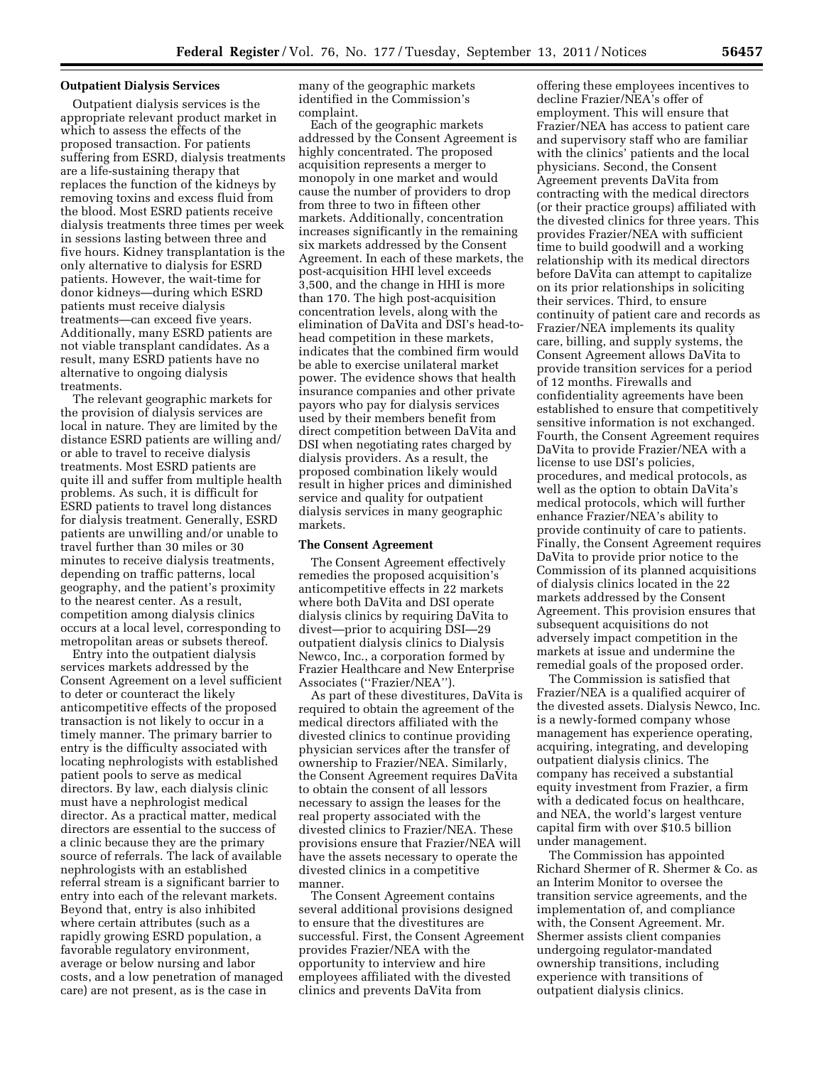#### **Outpatient Dialysis Services**

Outpatient dialysis services is the appropriate relevant product market in which to assess the effects of the proposed transaction. For patients suffering from ESRD, dialysis treatments are a life-sustaining therapy that replaces the function of the kidneys by removing toxins and excess fluid from the blood. Most ESRD patients receive dialysis treatments three times per week in sessions lasting between three and five hours. Kidney transplantation is the only alternative to dialysis for ESRD patients. However, the wait-time for donor kidneys—during which ESRD patients must receive dialysis treatments—can exceed five years. Additionally, many ESRD patients are not viable transplant candidates. As a result, many ESRD patients have no alternative to ongoing dialysis treatments.

The relevant geographic markets for the provision of dialysis services are local in nature. They are limited by the distance ESRD patients are willing and/ or able to travel to receive dialysis treatments. Most ESRD patients are quite ill and suffer from multiple health problems. As such, it is difficult for ESRD patients to travel long distances for dialysis treatment. Generally, ESRD patients are unwilling and/or unable to travel further than 30 miles or 30 minutes to receive dialysis treatments, depending on traffic patterns, local geography, and the patient's proximity to the nearest center. As a result, competition among dialysis clinics occurs at a local level, corresponding to metropolitan areas or subsets thereof.

Entry into the outpatient dialysis services markets addressed by the Consent Agreement on a level sufficient to deter or counteract the likely anticompetitive effects of the proposed transaction is not likely to occur in a timely manner. The primary barrier to entry is the difficulty associated with locating nephrologists with established patient pools to serve as medical directors. By law, each dialysis clinic must have a nephrologist medical director. As a practical matter, medical directors are essential to the success of a clinic because they are the primary source of referrals. The lack of available nephrologists with an established referral stream is a significant barrier to entry into each of the relevant markets. Beyond that, entry is also inhibited where certain attributes (such as a rapidly growing ESRD population, a favorable regulatory environment, average or below nursing and labor costs, and a low penetration of managed care) are not present, as is the case in

many of the geographic markets identified in the Commission's complaint.

Each of the geographic markets addressed by the Consent Agreement is highly concentrated. The proposed acquisition represents a merger to monopoly in one market and would cause the number of providers to drop from three to two in fifteen other markets. Additionally, concentration increases significantly in the remaining six markets addressed by the Consent Agreement. In each of these markets, the post-acquisition HHI level exceeds 3,500, and the change in HHI is more than 170. The high post-acquisition concentration levels, along with the elimination of DaVita and DSI's head-tohead competition in these markets, indicates that the combined firm would be able to exercise unilateral market power. The evidence shows that health insurance companies and other private payors who pay for dialysis services used by their members benefit from direct competition between DaVita and DSI when negotiating rates charged by dialysis providers. As a result, the proposed combination likely would result in higher prices and diminished service and quality for outpatient dialysis services in many geographic markets.

#### **The Consent Agreement**

The Consent Agreement effectively remedies the proposed acquisition's anticompetitive effects in 22 markets where both DaVita and DSI operate dialysis clinics by requiring DaVita to divest—prior to acquiring DSI—29 outpatient dialysis clinics to Dialysis Newco, Inc., a corporation formed by Frazier Healthcare and New Enterprise Associates (''Frazier/NEA'').

As part of these divestitures, DaVita is required to obtain the agreement of the medical directors affiliated with the divested clinics to continue providing physician services after the transfer of ownership to Frazier/NEA. Similarly, the Consent Agreement requires DaVita to obtain the consent of all lessors necessary to assign the leases for the real property associated with the divested clinics to Frazier/NEA. These provisions ensure that Frazier/NEA will have the assets necessary to operate the divested clinics in a competitive manner.

The Consent Agreement contains several additional provisions designed to ensure that the divestitures are successful. First, the Consent Agreement provides Frazier/NEA with the opportunity to interview and hire employees affiliated with the divested clinics and prevents DaVita from

offering these employees incentives to decline Frazier/NEA's offer of employment. This will ensure that Frazier/NEA has access to patient care and supervisory staff who are familiar with the clinics' patients and the local physicians. Second, the Consent Agreement prevents DaVita from contracting with the medical directors (or their practice groups) affiliated with the divested clinics for three years. This provides Frazier/NEA with sufficient time to build goodwill and a working relationship with its medical directors before DaVita can attempt to capitalize on its prior relationships in soliciting their services. Third, to ensure continuity of patient care and records as Frazier/NEA implements its quality care, billing, and supply systems, the Consent Agreement allows DaVita to provide transition services for a period of 12 months. Firewalls and confidentiality agreements have been established to ensure that competitively sensitive information is not exchanged. Fourth, the Consent Agreement requires DaVita to provide Frazier/NEA with a license to use DSI's policies, procedures, and medical protocols, as well as the option to obtain DaVita's medical protocols, which will further enhance Frazier/NEA's ability to provide continuity of care to patients. Finally, the Consent Agreement requires DaVita to provide prior notice to the Commission of its planned acquisitions of dialysis clinics located in the 22 markets addressed by the Consent Agreement. This provision ensures that subsequent acquisitions do not adversely impact competition in the markets at issue and undermine the remedial goals of the proposed order.

The Commission is satisfied that Frazier/NEA is a qualified acquirer of the divested assets. Dialysis Newco, Inc. is a newly-formed company whose management has experience operating, acquiring, integrating, and developing outpatient dialysis clinics. The company has received a substantial equity investment from Frazier, a firm with a dedicated focus on healthcare, and NEA, the world's largest venture capital firm with over \$10.5 billion under management.

The Commission has appointed Richard Shermer of R. Shermer & Co. as an Interim Monitor to oversee the transition service agreements, and the implementation of, and compliance with, the Consent Agreement. Mr. Shermer assists client companies undergoing regulator-mandated ownership transitions, including experience with transitions of outpatient dialysis clinics.